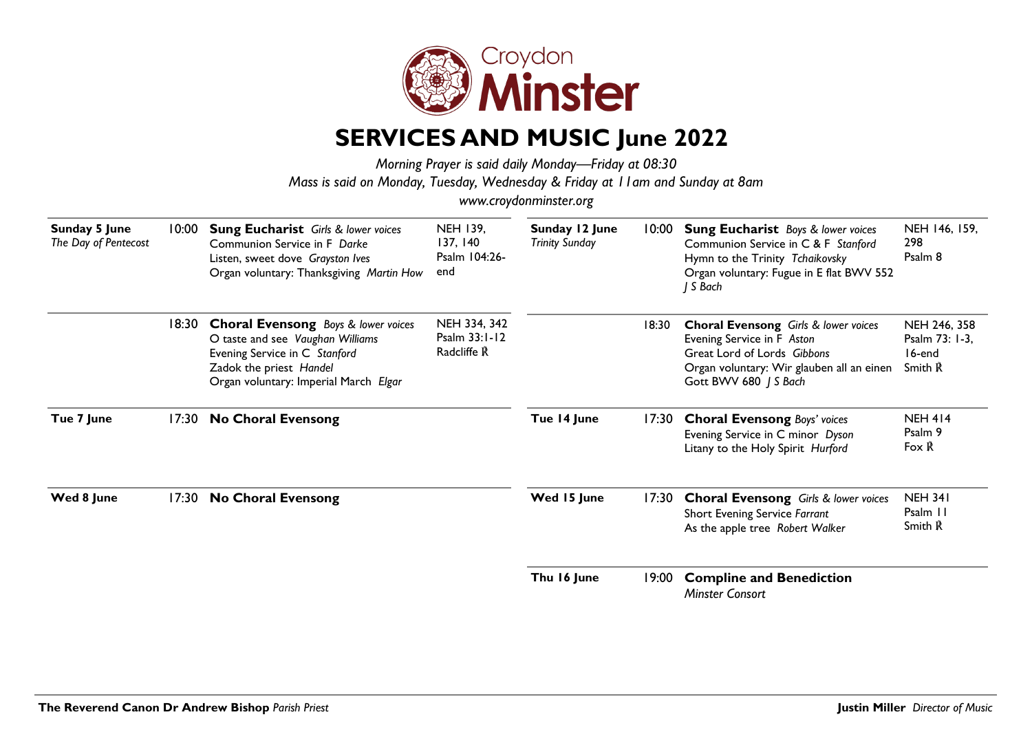

## **SERVICES AND MUSIC June 2022**

*Morning Prayer is said daily Monday—Friday at 08:30 Mass is said on Monday, Tuesday, Wednesday & Friday at 11am and Sunday at 8am*

*www.croydonminster.org*

| <b>Sunday 5 June</b><br>The Day of Pentecost | 10:00 | <b>Sung Eucharist</b> Girls & lower voices<br>Communion Service in F Darke<br>Listen, sweet dove Grayston Ives<br>Organ voluntary: Thanksgiving Martin How                          | <b>NEH 139,</b><br>137, 140<br>Psalm 104:26-<br>end | Sunday 12 June<br><b>Trinity Sunday</b> | 10:00 | <b>Sung Eucharist</b> Boys & lower voices<br>Communion Service in C & F Stanford<br>Hymn to the Trinity Tchaikovsky<br>Organ voluntary: Fugue in E flat BWV 552<br>J S Bach    | NEH 146, 159,<br>298<br>Psalm 8                     |
|----------------------------------------------|-------|-------------------------------------------------------------------------------------------------------------------------------------------------------------------------------------|-----------------------------------------------------|-----------------------------------------|-------|--------------------------------------------------------------------------------------------------------------------------------------------------------------------------------|-----------------------------------------------------|
|                                              | 18:30 | <b>Choral Evensong</b> Boys & lower voices<br>O taste and see Vaughan Williams<br>Evening Service in C Stanford<br>Zadok the priest Handel<br>Organ voluntary: Imperial March Elgar | NEH 334, 342<br>Psalm 33:1-12<br>Radcliffe R        |                                         | 18:30 | <b>Choral Evensong</b> Girls & lower voices<br>Evening Service in F Aston<br>Great Lord of Lords Gibbons<br>Organ voluntary: Wir glauben all an einen<br>Gott BWV 680   S Bach | NEH 246, 358<br>Psalm 73: 1-3,<br>16-end<br>Smith R |
| Tue 7 June                                   | 17:30 | <b>No Choral Evensong</b>                                                                                                                                                           |                                                     | Tue 14 June                             | 17:30 | <b>Choral Evensong Boys' voices</b><br>Evening Service in C minor Dyson<br>Litany to the Holy Spirit Hurford                                                                   | <b>NEH 414</b><br>Psalm 9<br>Fox $\tilde{R}$        |
| Wed 8 June                                   | 17:30 | <b>No Choral Evensong</b>                                                                                                                                                           |                                                     | Wed 15 June                             | 17:30 | <b>Choral Evensong</b> Girls & lower voices<br>Short Evening Service Farrant<br>As the apple tree Robert Walker                                                                | <b>NEH 341</b><br>Psalm 11<br>Smith R               |
|                                              |       |                                                                                                                                                                                     |                                                     | Thu 16 June                             | 19:00 | <b>Compline and Benediction</b><br><b>Minster Consort</b>                                                                                                                      |                                                     |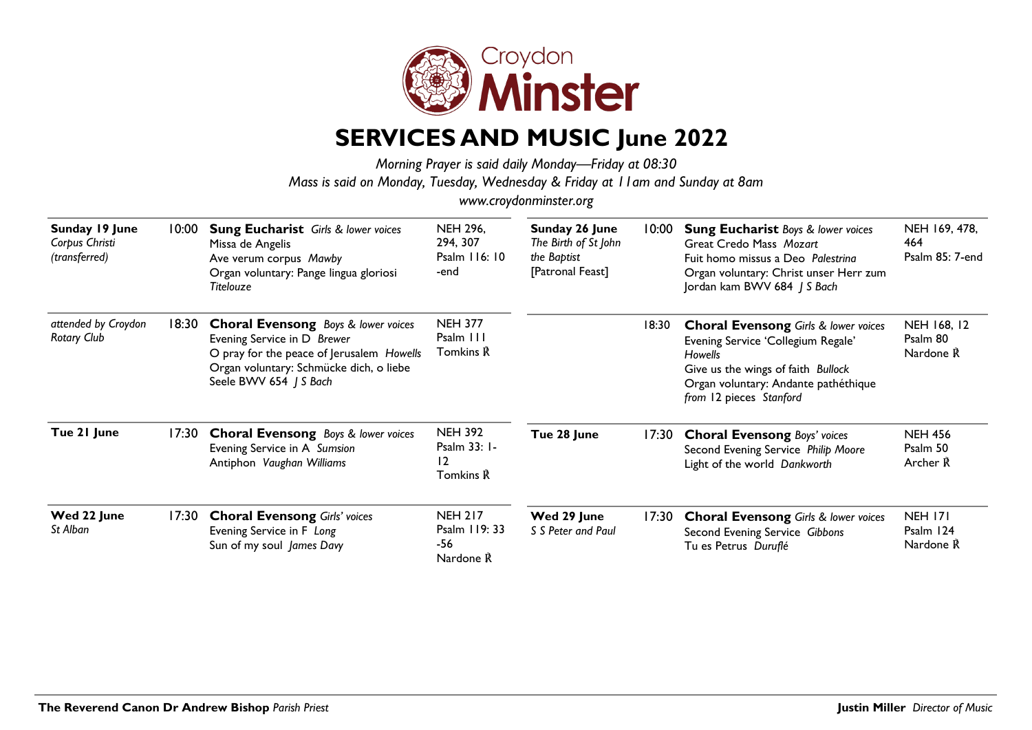

## **SERVICES AND MUSIC June 2022**

*Morning Prayer is said daily Monday—Friday at 08:30 Mass is said on Monday, Tuesday, Wednesday & Friday at 11am and Sunday at 8am*

*www.croydonminster.org*

| Sunday 19 June<br>Corpus Christi<br>(transferred) | 10:00 | <b>Sung Eucharist</b> Girls & lower voices<br>Missa de Angelis<br>Ave verum corpus Mawby<br>Organ voluntary: Pange lingua gloriosi<br><b>Titelouze</b>                                      | <b>NEH 296,</b><br>294, 307<br>Psalm 116: 10<br>-end | Sunday 26 June<br>The Birth of St John<br>the Baptist<br>[Patronal Feast] | 10:00 | <b>Sung Eucharist Boys &amp; lower voices</b><br>Great Credo Mass Mozart<br>Fuit homo missus a Deo Palestrina<br>Organ voluntary: Christ unser Herr zum<br>Jordan kam BWV 684   S Bach                    | NEH 169, 478,<br>464<br>Psalm 85: 7-end  |
|---------------------------------------------------|-------|---------------------------------------------------------------------------------------------------------------------------------------------------------------------------------------------|------------------------------------------------------|---------------------------------------------------------------------------|-------|-----------------------------------------------------------------------------------------------------------------------------------------------------------------------------------------------------------|------------------------------------------|
| attended by Croydon<br><b>Rotary Club</b>         | 18:30 | <b>Choral Evensong</b> Boys & lower voices<br>Evening Service in D Brewer<br>O pray for the peace of Jerusalem Howells<br>Organ voluntary: Schmücke dich, o liebe<br>Seele BWV 654   S Bach | <b>NEH 377</b><br>Psalm III<br>Tomkins R             |                                                                           | 18:30 | <b>Choral Evensong Girls &amp; lower voices</b><br>Evening Service 'Collegium Regale'<br>Howells<br>Give us the wings of faith Bullock<br>Organ voluntary: Andante pathéthique<br>from 12 pieces Stanford | NEH 168, 12<br>Psalm 80<br>Nardone R     |
| Tue 21 June                                       | 17:30 | <b>Choral Evensong</b> Boys & lower voices<br>Evening Service in A Sumsion<br>Antiphon Vaughan Williams                                                                                     | <b>NEH 392</b><br>Psalm 33: 1-<br>12<br>Tomkins R    | Tue 28 June                                                               | 17:30 | <b>Choral Evensong Boys' voices</b><br>Second Evening Service Philip Moore<br>Light of the world Dankworth                                                                                                | <b>NEH 456</b><br>Psalm 50<br>Archer R   |
| Wed 22 June<br>St Alban                           | 17:30 | <b>Choral Evensong Girls' voices</b><br>Evening Service in F Long<br>Sun of my soul James Davy                                                                                              | <b>NEH 217</b><br>Psalm 119: 33<br>-56<br>Nardone R  | Wed 29 June<br>S S Peter and Paul                                         | 17:30 | <b>Choral Evensong Girls &amp; lower voices</b><br>Second Evening Service Gibbons<br>Tu es Petrus Duruflé                                                                                                 | <b>NEH 171</b><br>Psalm 124<br>Nardone R |